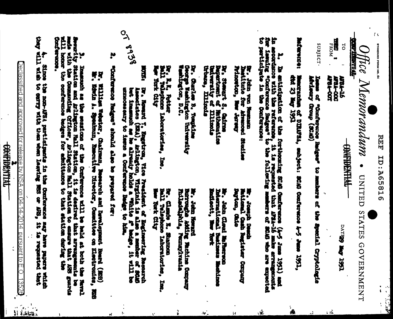$\alpha$ STANDARD FORM NO. 64

> 习时 1D:26516

> > $\frac{1}{2}$

 $\mathbf{A}^{(2)}$ 

**THE TIME AND** Hice Memorandum . UNITEN STATES GOVERNMENT

**CONTIDENTIAL** 

医脚肌

..

**FROM** 

**ANGA-OOT TRIAL-COC ARSA-16** 

 $\vec{c}$ 

**TGGT ANK GELIVE** 

SUBJECT. Issue of "Confuscore Badges" to murbers of the Special Cryptologie

MACRATICS: limescration of DIRERA, embject: SCAO Conference 4-5 June 1991,<br>dtd 23 May 1993

to participate in the conterners: le de l'appelier de la construction de la fortecente de la conference (4-5 iune de 1951) and hande forme de l'a<br>An notedant entre de reference de la requeste de la construction de l'appelier de la construction affinite de<br>

far, John von Messmann<br>Thatilinte for Afranced Studies Princeton, **Change Screen** 

**General** Dr. Stewart S. Gairm spartement of Bathematics<br>miverality of Illinois<br>rhans, Illinois

George Weshington University<br>Washington, D.C. Dr. Charless B. Tongkilne

Br. R.K. recent<br>Ball Talephone Laboratorises, Inc. **War York City** E.K. Potter

> **Deptism**, daile Their disk legislator Company **By Design Construction**

International Batimes **References the Reference Bandard Report** 

Burroughe Adding Bachine Company<br>Fulledslphia, Pennsylvania Br. John Heward

Į Ball Telephone Laboratories, Į Clarie I. Stance Tork City **Int**.

07 8938 **SECTE** Br. Homard T. Engettron, Vice President of Engineering Resourch. Associated in the state of State is a state of the state of State is a line of State in the allowing the allowing the structure of State in the allowing the unnecessary to itens a Conference Baigo to him.

Ņ "Confurero Batges" should also prepared for:

hr, William Webster, Chairmn, Besearch and Development Board (EDB) Ethiopia (EDB) (EDB)

S. Demandh as the seations of the Criftenso will be held at hoth the Newall and the content of the Seation and Arillagton Hall Station is the desired that arrangements be seated that the Community Officer, Arillagton Hall Contervise.

**UPLATTLE APPLE** Since the non-MSA participants in the Confurence may have papers which<br>List the to enry with then when leaving BSS or AES, it is requested that

 $\overline{\text{Declassified}}$  and approved for release by NSA on 04-14-2014 pursuant to E.O. 1352 $\theta$ .

**CONFIDENTIAL**